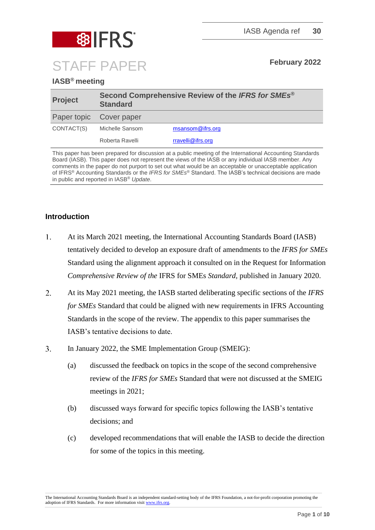

### **IASB® meeting**

| <b>Project</b>          | Second Comprehensive Review of the IFRS for SMEs®<br><b>Standard</b> |                   |  |
|-------------------------|----------------------------------------------------------------------|-------------------|--|
| Paper topic Cover paper |                                                                      |                   |  |
| CONTACT(S)              | Michelle Sansom                                                      | msansom@ifrs.org  |  |
|                         | Roberta Ravelli                                                      | rravelli@ifrs.org |  |

This paper has been prepared for discussion at a public meeting of the International Accounting Standards Board (IASB). This paper does not represent the views of the IASB or any individual IASB member. Any comments in the paper do not purport to set out what would be an acceptable or unacceptable application of IFRS® Accounting Standards or the *IFRS for SMEs*® Standard. The IASB's technical decisions are made in public and reported in IASB® *Update*.

#### **Introduction**

- $1.$ At its March 2021 meeting, the International Accounting Standards Board (IASB) tentatively decided to develop an exposure draft of amendments to the *IFRS for SMEs* Standard using the alignment approach it consulted on in the Request for Information *Comprehensive Review of the* IFRS for SMEs *Standard,* published in January 2020.
- $2.$ At its May 2021 meeting, the IASB started deliberating specific sections of the *IFRS for SMEs* Standard that could be aligned with new requirements in IFRS Accounting Standards in the scope of the review. The appendix to this paper summarises the IASB's tentative decisions to date.
- $3<sub>1</sub>$ In January 2022, the SME Implementation Group (SMEIG):
	- (a) discussed the feedback on topics in the scope of the second comprehensive review of the *IFRS for SMEs* Standard that were not discussed at the SMEIG meetings in 2021;
	- (b) discussed ways forward for specific topics following the IASB's tentative decisions; and
	- (c) developed recommendations that will enable the IASB to decide the direction for some of the topics in this meeting.

The International Accounting Standards Board is an independent standard-setting body of the IFRS Foundation, a not-for-profit corporation promoting the adoption of IFRS Standards. For more information visi[t www.ifrs.org.](http://www.ifrs.org/)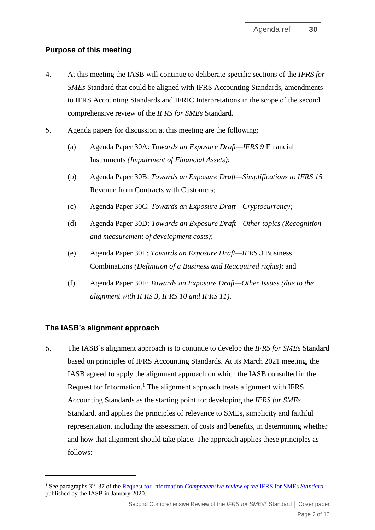### **Purpose of this meeting**

- $\overline{4}$ . At this meeting the IASB will continue to deliberate specific sections of the *IFRS for SMEs* Standard that could be aligned with IFRS Accounting Standards, amendments to IFRS Accounting Standards and IFRIC Interpretations in the scope of the second comprehensive review of the *IFRS for SMEs* Standard.
- $5.$ Agenda papers for discussion at this meeting are the following:
	- (a) Agenda Paper 30A: *Towards an Exposure Draft—IFRS 9* Financial Instruments *(Impairment of Financial Assets)*;
	- (b) Agenda Paper 30B: *Towards an Exposure Draft—Simplifications to IFRS 15*  Revenue from Contracts with Customers;
	- (c) Agenda Paper 30C: *Towards an Exposure Draft—Cryptocurrency;*
	- (d) Agenda Paper 30D: *Towards an Exposure Draft—Other topics (Recognition and measurement of development costs)*;
	- (e) Agenda Paper 30E: *Towards an Exposure Draft—IFRS 3* Business Combinations *(Definition of a Business and Reacquired rights)*; and
	- (f) Agenda Paper 30F: *Towards an Exposure Draft—Other Issues (due to the alignment with IFRS 3, IFRS 10 and IFRS 11)*.

### **The IASB's alignment approach**

6. The IASB's alignment approach is to continue to develop the *IFRS for SMEs* Standard based on principles of IFRS Accounting Standards. At its March 2021 meeting, the IASB agreed to apply the alignment approach on which the IASB consulted in the Request for Information.<sup>1</sup> The alignment approach treats alignment with IFRS Accounting Standards as the starting point for developing the *IFRS for SMEs* Standard, and applies the principles of relevance to SMEs, simplicity and faithful representation, including the assessment of costs and benefits, in determining whether and how that alignment should take place. The approach applies these principles as follows:

<sup>1</sup> See paragraphs 32–37 of the Request for Information *[Comprehensive review of the](https://www.ifrs.org/content/dam/ifrs/project/2019-comprehensive-review-of-the-ifrs-for-smes-standard/request-for-information-comprehensive-review-of-the-ifrs-for-smes-standard.pdf)* IFRS for SMEs *Standard* published by the IASB in January 2020*.*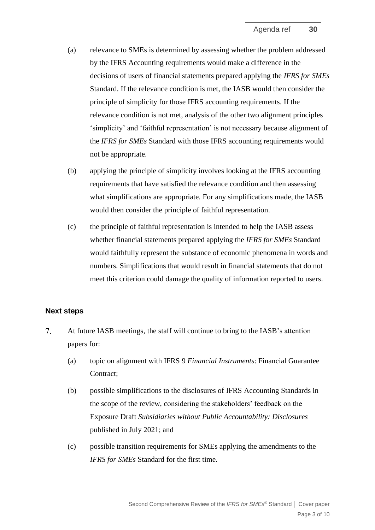- (a) relevance to SMEs is determined by assessing whether the problem addressed by the IFRS Accounting requirements would make a difference in the decisions of users of financial statements prepared applying the *IFRS for SMEs* Standard. If the relevance condition is met, the IASB would then consider the principle of simplicity for those IFRS accounting requirements. If the relevance condition is not met, analysis of the other two alignment principles 'simplicity' and 'faithful representation' is not necessary because alignment of the *IFRS for SMEs* Standard with those IFRS accounting requirements would not be appropriate.
- (b) applying the principle of simplicity involves looking at the IFRS accounting requirements that have satisfied the relevance condition and then assessing what simplifications are appropriate. For any simplifications made, the IASB would then consider the principle of faithful representation.
- (c) the principle of faithful representation is intended to help the IASB assess whether financial statements prepared applying the *IFRS for SMEs* Standard would faithfully represent the substance of economic phenomena in words and numbers. Simplifications that would result in financial statements that do not meet this criterion could damage the quality of information reported to users.

#### **Next steps**

- $7.$ At future IASB meetings, the staff will continue to bring to the IASB's attention papers for:
	- (a) topic on alignment with IFRS 9 *Financial Instruments*: Financial Guarantee Contract;
	- (b) possible simplifications to the disclosures of IFRS Accounting Standards in the scope of the review, considering the stakeholders' feedback on the Exposure Draft *Subsidiaries without Public Accountability: Disclosures* published in July 2021; and
	- (c) possible transition requirements for SMEs applying the amendments to the *IFRS for SMEs* Standard for the first time.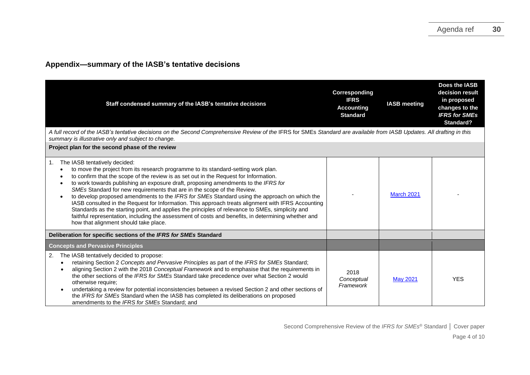### **Appendix—summary of the IASB's tentative decisions**

| Staff condensed summary of the IASB's tentative decisions                                                                                                                                                                                                                                                                                                                                                                                                                                                                                                                                                                                                                                                                                                                                                                                     | Corresponding<br><b>IFRS</b><br><b>Accounting</b><br><b>Standard</b> | <b>IASB</b> meeting | Does the IASB<br>decision result<br>in proposed<br>changes to the<br><b>IFRS for SMEs</b><br>Standard? |
|-----------------------------------------------------------------------------------------------------------------------------------------------------------------------------------------------------------------------------------------------------------------------------------------------------------------------------------------------------------------------------------------------------------------------------------------------------------------------------------------------------------------------------------------------------------------------------------------------------------------------------------------------------------------------------------------------------------------------------------------------------------------------------------------------------------------------------------------------|----------------------------------------------------------------------|---------------------|--------------------------------------------------------------------------------------------------------|
| A full record of the IASB's tentative decisions on the Second Comprehensive Review of the IFRS for SMEs Standard are available from IASB Updates. All drafting in this<br>summary is illustrative only and subject to change.                                                                                                                                                                                                                                                                                                                                                                                                                                                                                                                                                                                                                 |                                                                      |                     |                                                                                                        |
| Project plan for the second phase of the review                                                                                                                                                                                                                                                                                                                                                                                                                                                                                                                                                                                                                                                                                                                                                                                               |                                                                      |                     |                                                                                                        |
| The IASB tentatively decided:<br>1.<br>to move the project from its research programme to its standard-setting work plan.<br>to confirm that the scope of the review is as set out in the Request for Information.<br>to work towards publishing an exposure draft, proposing amendments to the IFRS for<br>SMEs Standard for new requirements that are in the scope of the Review.<br>to develop proposed amendments to the IFRS for SMEs Standard using the approach on which the<br>IASB consulted in the Request for Information. This approach treats alignment with IFRS Accounting<br>Standards as the starting point, and applies the principles of relevance to SMEs, simplicity and<br>faithful representation, including the assessment of costs and benefits, in determining whether and<br>how that alignment should take place. |                                                                      | <b>March 2021</b>   |                                                                                                        |
| Deliberation for specific sections of the IFRS for SMEs Standard                                                                                                                                                                                                                                                                                                                                                                                                                                                                                                                                                                                                                                                                                                                                                                              |                                                                      |                     |                                                                                                        |
| <b>Concepts and Pervasive Principles</b>                                                                                                                                                                                                                                                                                                                                                                                                                                                                                                                                                                                                                                                                                                                                                                                                      |                                                                      |                     |                                                                                                        |
| The IASB tentatively decided to propose:<br>2.<br>retaining Section 2 Concepts and Pervasive Principles as part of the IFRS for SMEs Standard;<br>aligning Section 2 with the 2018 Conceptual Framework and to emphasise that the requirements in<br>the other sections of the IFRS for SMEs Standard take precedence over what Section 2 would<br>otherwise require;<br>undertaking a review for potential inconsistencies between a revised Section 2 and other sections of<br>the IFRS for SMEs Standard when the IASB has completed its deliberations on proposed<br>amendments to the IFRS for SMEs Standard: and                                                                                                                                                                                                                        | 2018<br>Conceptual<br>Framework                                      | <b>May 2021</b>     | <b>YES</b>                                                                                             |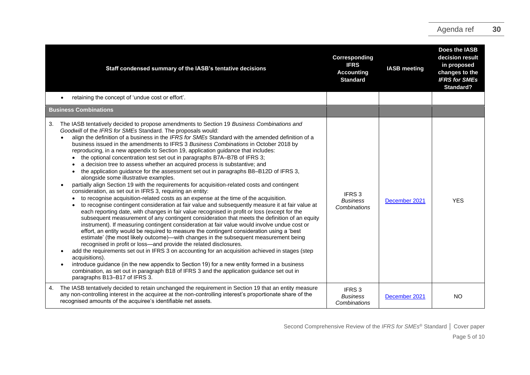|                              | Staff condensed summary of the IASB's tentative decisions                                                                                                                                                                                                                                                                                                                                                                                                                                                                                                                                                                                                                                                                                                                                                                                                                                                                                                                                                                                                                                                                                                                                                                                                                                                                                                                                                                                                                                                                                                                                                                                                                                                                                                                                                                                                                                                                                                                                                        | Corresponding<br><b>IFRS</b><br><b>Accounting</b><br><b>Standard</b> | <b>IASB</b> meeting | Does the IASB<br>decision result<br>in proposed<br>changes to the<br><b>IFRS for SMEs</b><br>Standard? |
|------------------------------|------------------------------------------------------------------------------------------------------------------------------------------------------------------------------------------------------------------------------------------------------------------------------------------------------------------------------------------------------------------------------------------------------------------------------------------------------------------------------------------------------------------------------------------------------------------------------------------------------------------------------------------------------------------------------------------------------------------------------------------------------------------------------------------------------------------------------------------------------------------------------------------------------------------------------------------------------------------------------------------------------------------------------------------------------------------------------------------------------------------------------------------------------------------------------------------------------------------------------------------------------------------------------------------------------------------------------------------------------------------------------------------------------------------------------------------------------------------------------------------------------------------------------------------------------------------------------------------------------------------------------------------------------------------------------------------------------------------------------------------------------------------------------------------------------------------------------------------------------------------------------------------------------------------------------------------------------------------------------------------------------------------|----------------------------------------------------------------------|---------------------|--------------------------------------------------------------------------------------------------------|
|                              | retaining the concept of 'undue cost or effort'.                                                                                                                                                                                                                                                                                                                                                                                                                                                                                                                                                                                                                                                                                                                                                                                                                                                                                                                                                                                                                                                                                                                                                                                                                                                                                                                                                                                                                                                                                                                                                                                                                                                                                                                                                                                                                                                                                                                                                                 |                                                                      |                     |                                                                                                        |
| <b>Business Combinations</b> |                                                                                                                                                                                                                                                                                                                                                                                                                                                                                                                                                                                                                                                                                                                                                                                                                                                                                                                                                                                                                                                                                                                                                                                                                                                                                                                                                                                                                                                                                                                                                                                                                                                                                                                                                                                                                                                                                                                                                                                                                  |                                                                      |                     |                                                                                                        |
| 3.                           | The IASB tentatively decided to propose amendments to Section 19 Business Combinations and<br>Goodwill of the IFRS for SMEs Standard. The proposals would:<br>align the definition of a business in the IFRS for SMEs Standard with the amended definition of a<br>business issued in the amendments to IFRS 3 Business Combinations in October 2018 by<br>reproducing, in a new appendix to Section 19, application guidance that includes:<br>the optional concentration test set out in paragraphs B7A-B7B of IFRS 3;<br>a decision tree to assess whether an acquired process is substantive; and<br>the application guidance for the assessment set out in paragraphs B8-B12D of IFRS 3,<br>alongside some illustrative examples.<br>partially align Section 19 with the requirements for acquisition-related costs and contingent<br>consideration, as set out in IFRS 3, requiring an entity:<br>to recognise acquisition-related costs as an expense at the time of the acquisition.<br>to recognise contingent consideration at fair value and subsequently measure it at fair value at<br>each reporting date, with changes in fair value recognised in profit or loss (except for the<br>subsequent measurement of any contingent consideration that meets the definition of an equity<br>instrument). If measuring contingent consideration at fair value would involve undue cost or<br>effort, an entity would be required to measure the contingent consideration using a 'best<br>estimate' (the most likely outcome)—with changes in the subsequent measurement being<br>recognised in profit or loss-and provide the related disclosures.<br>add the requirements set out in IFRS 3 on accounting for an acquisition achieved in stages (step<br>acquisitions).<br>introduce guidance (in the new appendix to Section 19) for a new entity formed in a business<br>combination, as set out in paragraph B18 of IFRS 3 and the application guidance set out in<br>paragraphs B13-B17 of IFRS 3. | IFRS <sub>3</sub><br><b>Business</b><br>Combinations                 | December 2021       | <b>YES</b>                                                                                             |
| 4.                           | The IASB tentatively decided to retain unchanged the requirement in Section 19 that an entity measure<br>any non-controlling interest in the acquiree at the non-controlling interest's proportionate share of the<br>recognised amounts of the acquiree's identifiable net assets.                                                                                                                                                                                                                                                                                                                                                                                                                                                                                                                                                                                                                                                                                                                                                                                                                                                                                                                                                                                                                                                                                                                                                                                                                                                                                                                                                                                                                                                                                                                                                                                                                                                                                                                              | IFRS <sub>3</sub><br><b>Business</b><br>Combinations                 | December 2021       | <b>NO</b>                                                                                              |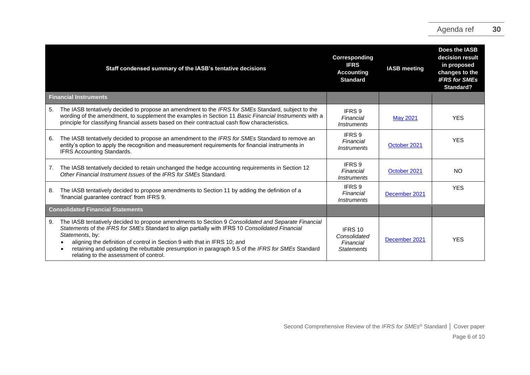|    | Staff condensed summary of the IASB's tentative decisions                                                                                                                                                                                                                                                                                                                                                                                            | Corresponding<br><b>IFRS</b><br><b>Accounting</b><br><b>Standard</b> | <b>IASB</b> meeting | Does the IASB<br>decision result<br>in proposed<br>changes to the<br><b>IFRS for SMEs</b><br>Standard? |
|----|------------------------------------------------------------------------------------------------------------------------------------------------------------------------------------------------------------------------------------------------------------------------------------------------------------------------------------------------------------------------------------------------------------------------------------------------------|----------------------------------------------------------------------|---------------------|--------------------------------------------------------------------------------------------------------|
|    | <b>Financial Instruments</b>                                                                                                                                                                                                                                                                                                                                                                                                                         |                                                                      |                     |                                                                                                        |
| 5. | The IASB tentatively decided to propose an amendment to the IFRS for SMEs Standard, subject to the<br>wording of the amendment, to supplement the examples in Section 11 Basic Financial Instruments with a<br>principle for classifying financial assets based on their contractual cash flow characteristics.                                                                                                                                      | IFRS <sub>9</sub><br>Financial<br><i><b>Instruments</b></i>          | <b>May 2021</b>     | <b>YES</b>                                                                                             |
| 6. | The IASB tentatively decided to propose an amendment to the <i>IFRS for SMEs</i> Standard to remove an<br>entity's option to apply the recognition and measurement requirements for financial instruments in<br><b>IFRS Accounting Standards.</b>                                                                                                                                                                                                    | IFRS 9<br>Financial<br><i><b>Instruments</b></i>                     | October 2021        | <b>YES</b>                                                                                             |
| 7. | The IASB tentatively decided to retain unchanged the hedge accounting requirements in Section 12<br>Other Financial Instrument Issues of the IFRS for SMEs Standard.                                                                                                                                                                                                                                                                                 | IFRS 9<br>Financial<br><i><b>Instruments</b></i>                     | October 2021        | <b>NO</b>                                                                                              |
| 8. | The IASB tentatively decided to propose amendments to Section 11 by adding the definition of a<br>'financial guarantee contract' from IFRS 9.                                                                                                                                                                                                                                                                                                        | IFRS 9<br>Financial<br><i><b>Instruments</b></i>                     | December 2021       | <b>YES</b>                                                                                             |
|    | <b>Consolidated Financial Statements</b>                                                                                                                                                                                                                                                                                                                                                                                                             |                                                                      |                     |                                                                                                        |
| 9. | The IASB tentatively decided to propose amendments to Section 9 Consolidated and Separate Financial<br>Statements of the IFRS for SMEs Standard to align partially with IFRS 10 Consolidated Financial<br>Statements, by:<br>aligning the definition of control in Section 9 with that in IFRS 10; and<br>retaining and updating the rebuttable presumption in paragraph 9.5 of the IFRS for SMEs Standard<br>relating to the assessment of control. | IFRS 10<br>Consolidated<br>Financial<br><b>Statements</b>            | December 2021       | <b>YES</b>                                                                                             |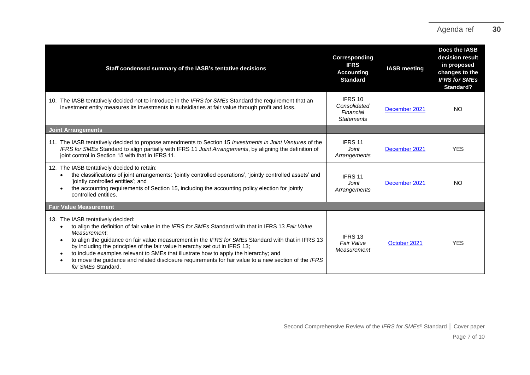| Staff condensed summary of the IASB's tentative decisions                                                                                                                                                                                                                                                                                                                                                                                                                                                                                                                        | Corresponding<br><b>IFRS</b><br><b>Accounting</b><br><b>Standard</b> | <b>IASB</b> meeting | Does the IASB<br>decision result<br>in proposed<br>changes to the<br><b>IFRS for SMEs</b><br>Standard? |
|----------------------------------------------------------------------------------------------------------------------------------------------------------------------------------------------------------------------------------------------------------------------------------------------------------------------------------------------------------------------------------------------------------------------------------------------------------------------------------------------------------------------------------------------------------------------------------|----------------------------------------------------------------------|---------------------|--------------------------------------------------------------------------------------------------------|
| 10. The IASB tentatively decided not to introduce in the IFRS for SMEs Standard the requirement that an<br>investment entity measures its investments in subsidiaries at fair value through profit and loss.                                                                                                                                                                                                                                                                                                                                                                     | IFRS 10<br>Consolidated<br>Financial<br><b>Statements</b>            | December 2021       | <b>NO</b>                                                                                              |
| <b>Joint Arrangements</b>                                                                                                                                                                                                                                                                                                                                                                                                                                                                                                                                                        |                                                                      |                     |                                                                                                        |
| 11. The IASB tentatively decided to propose amendments to Section 15 Investments in Joint Ventures of the<br>IFRS for SMEs Standard to align partially with IFRS 11 Joint Arrangements, by aligning the definition of<br>joint control in Section 15 with that in IFRS 11.                                                                                                                                                                                                                                                                                                       | IFRS <sub>11</sub><br>Joint<br>Arrangements                          | December 2021       | <b>YES</b>                                                                                             |
| 12. The IASB tentatively decided to retain:<br>the classifications of joint arrangements: 'jointly controlled operations', 'jointly controlled assets' and<br>'jointly controlled entities'; and<br>the accounting requirements of Section 15, including the accounting policy election for jointly<br>controlled entities.                                                                                                                                                                                                                                                      | IFRS 11<br>Joint<br>Arrangements                                     | December 2021       | <b>NO</b>                                                                                              |
| <b>Fair Value Measurement</b>                                                                                                                                                                                                                                                                                                                                                                                                                                                                                                                                                    |                                                                      |                     |                                                                                                        |
| 13. The IASB tentatively decided:<br>to align the definition of fair value in the IFRS for SMEs Standard with that in IFRS 13 Fair Value<br>Measurement:<br>to align the guidance on fair value measurement in the IFRS for SMEs Standard with that in IFRS 13<br>by including the principles of the fair value hierarchy set out in IFRS 13;<br>to include examples relevant to SMEs that illustrate how to apply the hierarchy; and<br>$\bullet$<br>to move the guidance and related disclosure requirements for fair value to a new section of the IFRS<br>for SMEs Standard. | IFRS 13<br>Fair Value<br>Measurement                                 | October 2021        | <b>YES</b>                                                                                             |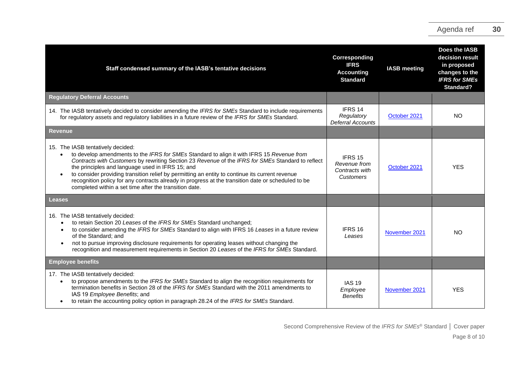| Staff condensed summary of the IASB's tentative decisions                                                                                                                                                                                                                                                                                                                                                                                                                                                                                                  | Corresponding<br><b>IFRS</b><br><b>Accounting</b><br><b>Standard</b> | <b>IASB</b> meeting | Does the IASB<br>decision result<br>in proposed<br>changes to the<br><b>IFRS for SMEs</b><br><b>Standard?</b> |
|------------------------------------------------------------------------------------------------------------------------------------------------------------------------------------------------------------------------------------------------------------------------------------------------------------------------------------------------------------------------------------------------------------------------------------------------------------------------------------------------------------------------------------------------------------|----------------------------------------------------------------------|---------------------|---------------------------------------------------------------------------------------------------------------|
| <b>Regulatory Deferral Accounts</b>                                                                                                                                                                                                                                                                                                                                                                                                                                                                                                                        |                                                                      |                     |                                                                                                               |
| 14. The IASB tentatively decided to consider amending the IFRS for SMEs Standard to include requirements<br>for regulatory assets and regulatory liabilities in a future review of the IFRS for SMEs Standard.                                                                                                                                                                                                                                                                                                                                             | IFRS 14<br>Regulatory<br><b>Deferral Accounts</b>                    | October 2021        | <b>NO</b>                                                                                                     |
| <b>Revenue</b>                                                                                                                                                                                                                                                                                                                                                                                                                                                                                                                                             |                                                                      |                     |                                                                                                               |
| 15. The IASB tentatively decided:<br>to develop amendments to the IFRS for SMEs Standard to align it with IFRS 15 Revenue from<br>Contracts with Customers by rewriting Section 23 Revenue of the IFRS for SMEs Standard to reflect<br>the principles and language used in IFRS 15; and<br>to consider providing transition relief by permitting an entity to continue its current revenue<br>recognition policy for any contracts already in progress at the transition date or scheduled to be<br>completed within a set time after the transition date. | IFRS 15<br>Revenue from<br>Contracts with<br><b>Customers</b>        | October 2021        | <b>YES</b>                                                                                                    |
| Leases                                                                                                                                                                                                                                                                                                                                                                                                                                                                                                                                                     |                                                                      |                     |                                                                                                               |
| 16. The IASB tentatively decided:<br>to retain Section 20 Leases of the IFRS for SMEs Standard unchanged;<br>to consider amending the IFRS for SMEs Standard to align with IFRS 16 Leases in a future review<br>of the Standard: and<br>not to pursue improving disclosure requirements for operating leases without changing the<br>recognition and measurement requirements in Section 20 Leases of the IFRS for SMEs Standard.                                                                                                                          | IFRS 16<br>Leases                                                    | November 2021       | <b>NO</b>                                                                                                     |
| <b>Employee benefits</b>                                                                                                                                                                                                                                                                                                                                                                                                                                                                                                                                   |                                                                      |                     |                                                                                                               |
| 17. The IASB tentatively decided:<br>to propose amendments to the IFRS for SMEs Standard to align the recognition requirements for<br>termination benefits in Section 28 of the IFRS for SMEs Standard with the 2011 amendments to<br>IAS 19 Employee Benefits; and<br>to retain the accounting policy option in paragraph 28.24 of the IFRS for SMEs Standard.                                                                                                                                                                                            | <b>IAS 19</b><br>Employee<br><b>Benefits</b>                         | November 2021       | <b>YES</b>                                                                                                    |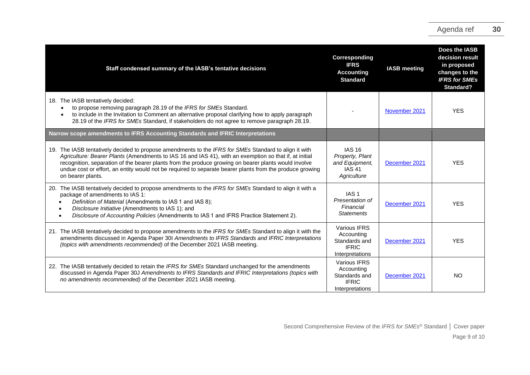| Staff condensed summary of the IASB's tentative decisions                                                                                                                                                                                                                                                                                                                                                                                                | Corresponding<br><b>IFRS</b><br><b>Accounting</b><br><b>Standard</b>               | <b>IASB</b> meeting | Does the IASB<br>decision result<br>in proposed<br>changes to the<br><b>IFRS for SMEs</b><br>Standard? |
|----------------------------------------------------------------------------------------------------------------------------------------------------------------------------------------------------------------------------------------------------------------------------------------------------------------------------------------------------------------------------------------------------------------------------------------------------------|------------------------------------------------------------------------------------|---------------------|--------------------------------------------------------------------------------------------------------|
| 18. The IASB tentatively decided:<br>to propose removing paragraph 28.19 of the IFRS for SMEs Standard.<br>to include in the Invitation to Comment an alternative proposal clarifying how to apply paragraph<br>28.19 of the IFRS for SMEs Standard, if stakeholders do not agree to remove paragraph 28.19.                                                                                                                                             |                                                                                    | November 2021       | <b>YES</b>                                                                                             |
| Narrow scope amendments to IFRS Accounting Standards and IFRIC Interpretations                                                                                                                                                                                                                                                                                                                                                                           |                                                                                    |                     |                                                                                                        |
| 19. The IASB tentatively decided to propose amendments to the IFRS for SMEs Standard to align it with<br>Agriculture: Bearer Plants (Amendments to IAS 16 and IAS 41), with an exemption so that if, at initial<br>recognition, separation of the bearer plants from the produce growing on bearer plants would involve<br>undue cost or effort, an entity would not be required to separate bearer plants from the produce growing<br>on bearer plants. | <b>IAS 16</b><br>Property, Plant<br>and Equipment,<br><b>IAS 41</b><br>Agriculture | December 2021       | <b>YES</b>                                                                                             |
| 20. The IASB tentatively decided to propose amendments to the IFRS for SMEs Standard to align it with a<br>package of amendments to IAS 1:<br>Definition of Material (Amendments to IAS 1 and IAS 8);<br>Disclosure Initiative (Amendments to IAS 1); and<br>Disclosure of Accounting Policies (Amendments to IAS 1 and IFRS Practice Statement 2).                                                                                                      | IAS <sub>1</sub><br>Presentation of<br>Financial<br><b>Statements</b>              | December 2021       | <b>YES</b>                                                                                             |
| 21. The IASB tentatively decided to propose amendments to the IFRS for SMEs Standard to align it with the<br>amendments discussed in Agenda Paper 301 Amendments to IFRS Standards and IFRIC Interpretations<br>(topics with amendments recommended) of the December 2021 IASB meeting.                                                                                                                                                                  | Various IFRS<br>Accounting<br>Standards and<br><b>IFRIC</b><br>Interpretations     | December 2021       | <b>YES</b>                                                                                             |
| 22. The IASB tentatively decided to retain the IFRS for SMEs Standard unchanged for the amendments<br>discussed in Agenda Paper 30J Amendments to IFRS Standards and IFRIC Interpretations (topics with<br>no amendments recommended) of the December 2021 IASB meeting.                                                                                                                                                                                 | Various IFRS<br>Accounting<br>Standards and<br><b>IFRIC</b><br>Interpretations     | December 2021       | <b>NO</b>                                                                                              |